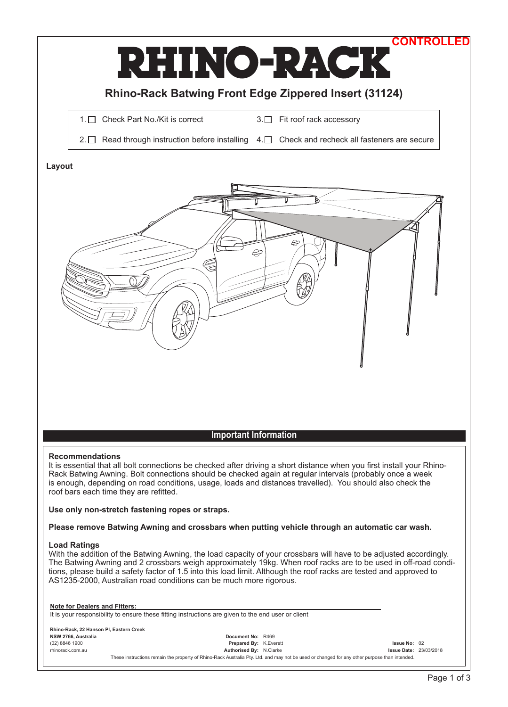

**Please remove Batwing Awning and crossbars when putting vehicle through an automatic car wash.**

## **Load Ratings**

With the addition of the Batwing Awning, the load capacity of your crossbars will have to be adjusted accordingly. The Batwing Awning and 2 crossbars weigh approximately 19kg. When roof racks are to be used in off -road conditions, please build a safety factor of 1.5 into this load limit. Although the roof racks are tested and approved to AS1235-2000, Australian road conditions can be much more rigorous.

**Note for Dealers and Fitters:** 

It is your responsibility to ensure these fitting instructions are given to the end user or client

| Rhino-Rack, 22 Hanson Pl. Eastern Creek |                                                                                                                                              |  |                               |  |
|-----------------------------------------|----------------------------------------------------------------------------------------------------------------------------------------------|--|-------------------------------|--|
| NSW 2766, Australia                     | Document No: R469                                                                                                                            |  |                               |  |
| (02) 8846 1900                          | <b>Prepared By: K. Everett</b>                                                                                                               |  | Issue No: 02                  |  |
| rhinorack.com.au                        | <b>Authorised By: N.Clarke</b>                                                                                                               |  | <b>Issue Date: 23/03/2018</b> |  |
|                                         | These instructions remain the property of Rhino-Rack Australia Pty. Ltd. and may not be used or changed for any other purpose than intended. |  |                               |  |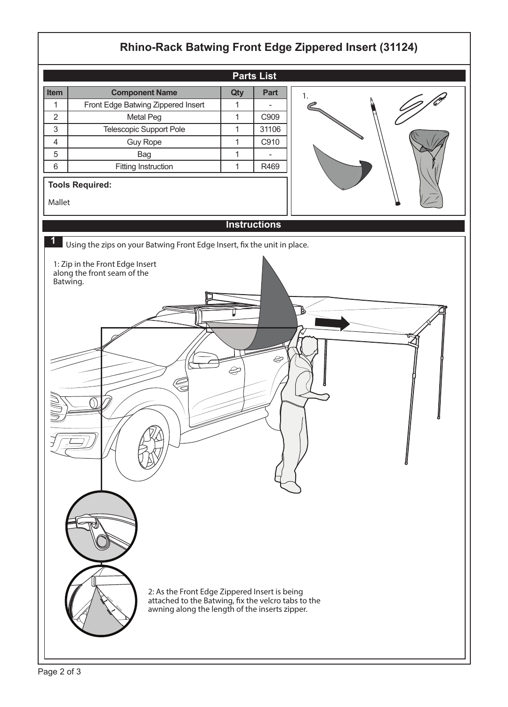